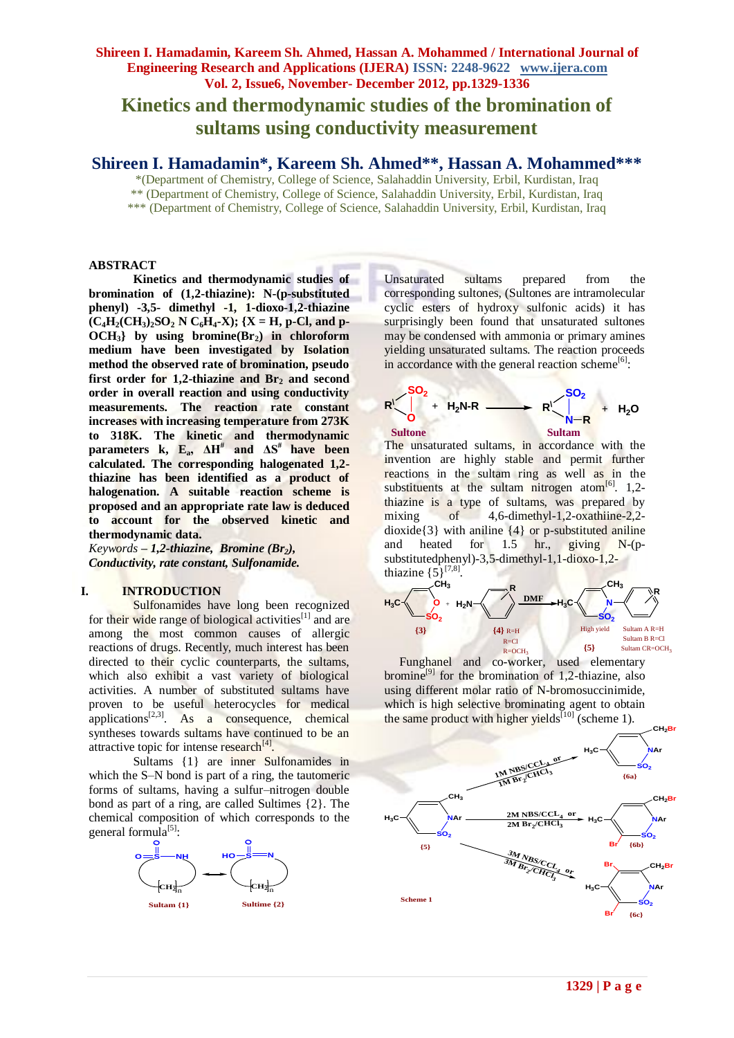**Kinetics and thermodynamic studies of the bromination of sultams using conductivity measurement**

# **Shireen I. Hamadamin\*, Kareem Sh. Ahmed\*\*, Hassan A. Mohammed\*\*\***

\*(Department of Chemistry, College of Science, Salahaddin University, Erbil, Kurdistan, Iraq

\*\* (Department of Chemistry, College of Science, Salahaddin University, Erbil, Kurdistan, Iraq

\*\*\* (Department of Chemistry, College of Science, Salahaddin University, Erbil, Kurdistan, Iraq

## **ABSTRACT**

**Kinetics and thermodynamic studies of bromination of (1,2-thiazine): N-(p-substituted phenyl) -3,5- dimethyl -1, 1-dioxo-1,2-thiazine**   $(C_4H_2(CH_3)_2SO_2$  **N**  $C_6H_4$ **-X**);  $\{X = H, p\text{-}Cl, and p\}$ **OCH3} by using bromine(Br2) in chloroform medium have been investigated by Isolation method the observed rate of bromination, pseudo first order for 1,2-thiazine and Br<sup>2</sup> and second order in overall reaction and using conductivity measurements. The reaction rate constant increases with increasing temperature from 273K to 318K. The kinetic and thermodynamic parameters k, Ea, ΔH# and ΔS# have been calculated. The corresponding halogenated 1,2 thiazine has been identified as a product of halogenation. A suitable reaction scheme is proposed and an appropriate rate law is deduced to account for the observed kinetic and thermodynamic data.** 

*Keywords* **–** *1,2-thiazine, Bromine (Br2), Conductivity, rate constant, Sulfonamide.*

### **I. INTRODUCTION**

Sulfonamides have long been recognized for their wide range of biological activities $^{[1]}$  and are among the most common causes of allergic reactions of drugs. Recently, much interest has been directed to their cyclic counterparts, the sultams, which also exhibit a vast variety of biological activities. A number of substituted sultams have proven to be useful heterocycles for medical applications $[2,3]$ . As a consequence, chemical syntheses towards sultams have continued to be an attractive topic for intense research<sup>[4]</sup>.

Sultams {1} are inner Sulfonamides in which the S–N bond is part of a ring, the tautomeric forms of sultams, having a sulfur–nitrogen double bond as part of a ring, are called Sultimes {2}. The chemical composition of which corresponds to the general formula<sup>[5]</sup>:



Unsaturated sultams prepared from the corresponding sultones, (Sultones are intramolecular cyclic esters of hydroxy sulfonic acids) it has surprisingly been found that unsaturated sultones may be condensed with ammonia or primary amines yielding unsaturated sultams. The reaction proceeds in accordance with the general reaction scheme<sup>[6]</sup>:



The unsaturated sultams, in accordance with the invention are highly stable and permit further reactions in the sultam ring as well as in the substituents at the sultam nitrogen atom $[6]$ . 1,2thiazine is a type of sultams, was prepared by mixing of 4,6-dimethyl-1,2-oxathiine-2,2dioxide $\{3\}$  with aniline  $\{4\}$  or p-substituted aniline and heated for 1.5 hr., giving N-(psubstitutedphenyl)-3,5-dimethyl-1,1-dioxo-1,2 thiazine  $\{5\}^{[7,8]}$ .



 Funghanel and co-worker, used elementary bromine $[9]$  for the bromination of 1,2-thiazine, also using different molar ratio of N-bromosuccinimide, which is high selective brominating agent to obtain the same product with higher yields<sup>[10]</sup> (scheme 1).

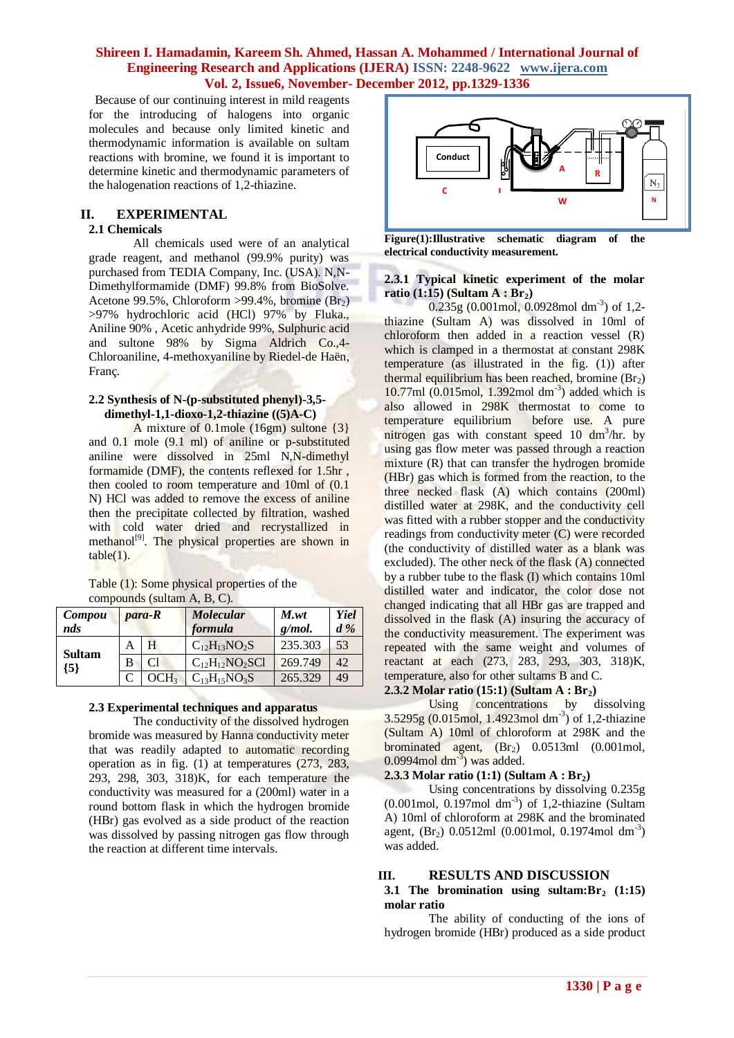Because of our continuing interest in mild reagents for the introducing of halogens into organic molecules and because only limited kinetic and thermodynamic information is available on sultam reactions with bromine, we found it is important to determine kinetic and thermodynamic parameters of the halogenation reactions of 1,2-thiazine.

# **II. EXPERIMENTAL**

## **2.1 Chemicals**

All chemicals used were of an analytical grade reagent, and methanol (99.9% purity) was purchased from TEDIA Company, Inc. (USA). N,N-Dimethylformamide (DMF) 99.8% from BioSolve. Acetone 99.5%, Chloroform >99.4%, bromine  $(Br_2)$ >97% hydrochloric acid (HCl) 97% by Fluka., Aniline 90% , Acetic anhydride 99%, Sulphuric acid and sultone 98% by Sigma Aldrich Co.,4- Chloroaniline, 4-methoxyaniline by Riedel-de Haën, Franç.

### **2.2 Synthesis of N-(p-substituted phenyl)-3,5 dimethyl-1,1-dioxo-1,2-thiazine ((5)A-C)**

A mixture of 0.1mole (16gm) sultone {3} and 0.1 mole (9.1 ml) of aniline or p-substituted aniline were dissolved in 25ml N,N-dimethyl formamide (DMF), the contents reflexed for 1.5hr , then cooled to room temperature and 10ml of (0.1 N) HCl was added to remove the excess of aniline then the precipitate collected by filtration, washed with cold water dried and recrystallized in methanol<sup>[9]</sup>. The physical properties are shown in  $table(1)$ .

Table (1): Some physical properties of the compounds (sultam A, B, C).

| Compou<br>nds |   | para-R | <b>Molecular</b><br>formula | M <sub>wt</sub><br>$g/mol$ . | Yiel<br>$d\%$ |
|---------------|---|--------|-----------------------------|------------------------------|---------------|
| <b>Sultam</b> | А |        | $C_{12}H_{13}NO_2S$         | 235.303                      | 53            |
| ${5}$         | B | C1     | $C_{12}H_{12}NO_2SC1$       | 269.749                      | 42.           |
|               |   | OCH3   | $C_{13}H_{15}NO_3S$         | 265.329                      | 49            |

## **2.3 Experimental techniques and apparatus**

The conductivity of the dissolved hydrogen bromide was measured by Hanna conductivity meter that was readily adapted to automatic recording operation as in fig. (1) at temperatures (273, 283, 293, 298, 303, 318)K, for each temperature the conductivity was measured for a (200ml) water in a round bottom flask in which the hydrogen bromide (HBr) gas evolved as a side product of the reaction was dissolved by passing nitrogen gas flow through the reaction at different time intervals.



**Figure(1):Illustrative schematic diagram of the electrical conductivity measurement.**

## **2.3.1 Typical kinetic experiment of the molar ratio (1:15) (Sultam A : Br2)**

 $0.235g(0.001mol, 0.0928mol dm<sup>-3</sup>)$  of 1,2thiazine (Sultam A) was dissolved in 10ml of chloroform then added in a reaction vessel  $(R)$ which is clamped in a thermostat at constant 298K temperature (as illustrated in the fig. (1)) after thermal equilibrium has been reached, bromine  $(Br_2)$  $10.77$ ml (0.015mol, 1.392mol dm<sup>-3</sup>) added which is also allowed in 298K thermostat to come to temperature equilibrium before use. A pure nitrogen gas with constant speed 10 dm<sup>3</sup>/hr. by using gas flow meter was passed through a reaction mixture (R) that can transfer the hydrogen bromide (HBr) gas which is formed from the reaction, to the three necked flask (A) which contains (200ml) distilled water at 298K, and the conductivity cell was fitted with a rubber stopper and the conductivity readings from conductivity meter (C) were recorded (the conductivity of distilled water as a blank was excluded). The other neck of the flask (A) connected by a rubber tube to the flask (I) which contains 10ml distilled water and indicator, the color dose not changed indicating that all HBr gas are trapped and dissolved in the flask (A) insuring the accuracy of the conductivity measurement. The experiment was repeated with the same weight and volumes of reactant at each (273, 283, 293, 303, 318)K, temperature, also for other sultams B and C.

## **2.3.2 Molar ratio (15:1) (Sultam A : Br2)**

Using concentrations by dissolving 3.5295g (0.015mol, 1.4923mol dm-3 ) of 1,2-thiazine (Sultam A) 10ml of chloroform at 298K and the brominated agent,  $(Br_2)$  0.0513ml (0.001mol,  $0.0994$ mol dm<sup>-3</sup>) was added.

## **2.3.3 Molar ratio (1:1) (Sultam A : Br2)**

Using concentrations by dissolving 0.235g  $(0.001 \text{mol}, 0.197 \text{mol})$  dm<sup>-3</sup>) of 1,2-thiazine (Sultam A) 10ml of chloroform at 298K and the brominated agent, (Br<sub>2</sub>) 0.0512ml (0.001mol, 0.1974mol dm<sup>-3</sup>) was added.

# **III. RESULTS AND DISCUSSION**

#### **3.1 The bromination using sultam:Br<sup>2</sup> (1:15) molar ratio**

The ability of conducting of the ions of hydrogen bromide (HBr) produced as a side product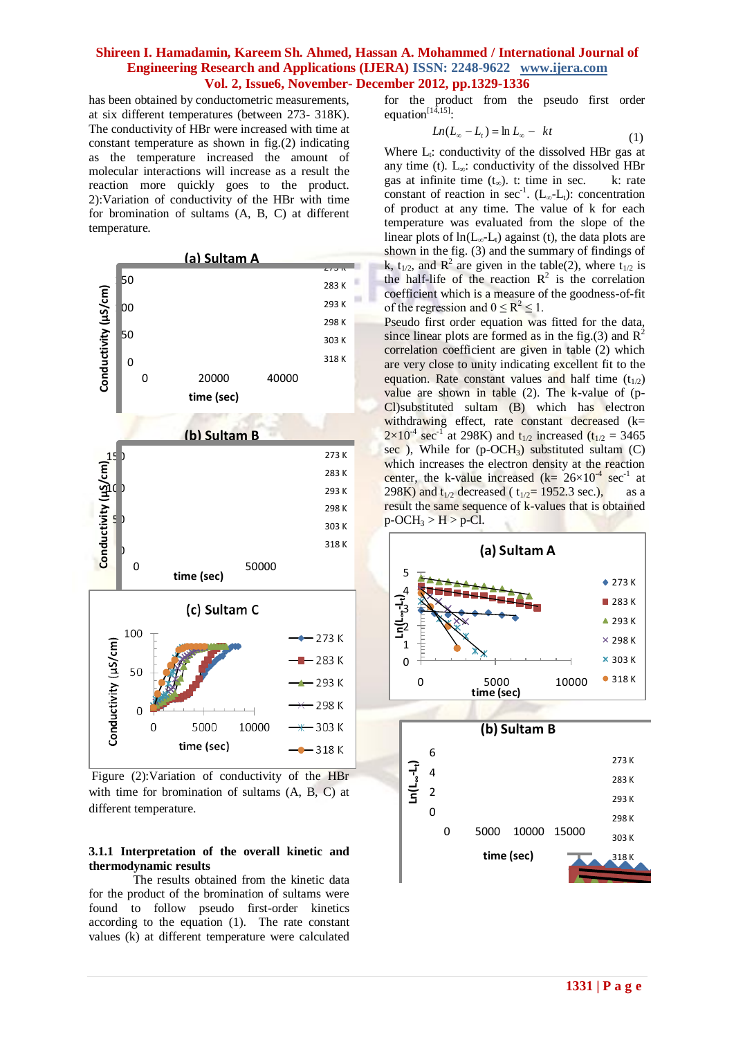has been obtained by conductometric measurements, at six different temperatures (between 273- 318K). The conductivity of HBr were increased with time at constant temperature as shown in fig.(2) indicating as the temperature increased the amount of molecular interactions will increase as a result the reaction more quickly goes to the product. 2):Variation of conductivity of the HBr with time for bromination of sultams (A, B, C) at different temperature.



Figure (2):Variation of conductivity of the HBr with time for bromination of sultams (A, B, C) at different temperature.

### **3.1.1 Interpretation of the overall kinetic and thermodynamic results**

The results obtained from the kinetic data for the product of the bromination of sultams were found to follow pseudo first-order kinetics according to the equation (1). The rate constant values (k) at different temperature were calculated for the product from the pseudo first order equation $\prod_{14,15}$ .

$$
Ln(L_{\infty} - L_t) = \ln L_{\infty} - kt \tag{1}
$$

Where  $L_t$ : conductivity of the dissolved HBr gas at any time (t).  $L_{\infty}$ : conductivity of the dissolved HBr gas at infinite time  $(t<sub>∞</sub>)$ . t: time in sec. k: rate constant of reaction in sec<sup>-1</sup>. ( $L_{\infty}$ - $L_{t}$ ): concentration of product at any time. The value of k for each temperature was evaluated from the slope of the linear plots of  $ln(L_{\infty}-L_{t})$  against (t), the data plots are shown in the fig. (3) and the summary of findings of k,  $t_{1/2}$ , and  $R^2$  are given in the table(2), where  $t_{1/2}$  is the half-life of the reaction  $R^2$  is the correlation coefficient which is a measure of the goodness-of-fit of the regression and  $0 \le R^2 \le 1$ .

Pseudo first order equation was fitted for the data, since linear plots are formed as in the fig.(3) and  $R^2$ correlation coefficient are given in table (2) which are very close to unity indicating excellent fit to the equation. Rate constant values and half time  $(t_{1/2})$ value are shown in table (2). The k-value of (p-Cl)substituted sultam (B) which has electron withdrawing effect, rate constant decreased  $(k=$  $2 \times 10^{-4}$  sec<sup>-1</sup> at 298K) and t<sub>1/2</sub> increased (t<sub>1/2</sub> = 3465) sec ), While for  $(p-OCH_3)$  substituted sultam  $(C)$ which increases the electron density at the reaction center, the k-value increased  $(k = 26 \times 10^{-4} \text{ sec}^{-1}$  at 298K) and  $t_{1/2}$  decreased (  $t_{1/2}$ = 1952.3 sec.), as a result the same sequence of k-values that is obtained  $p-CCH_3 > H > p-Cl.$ 

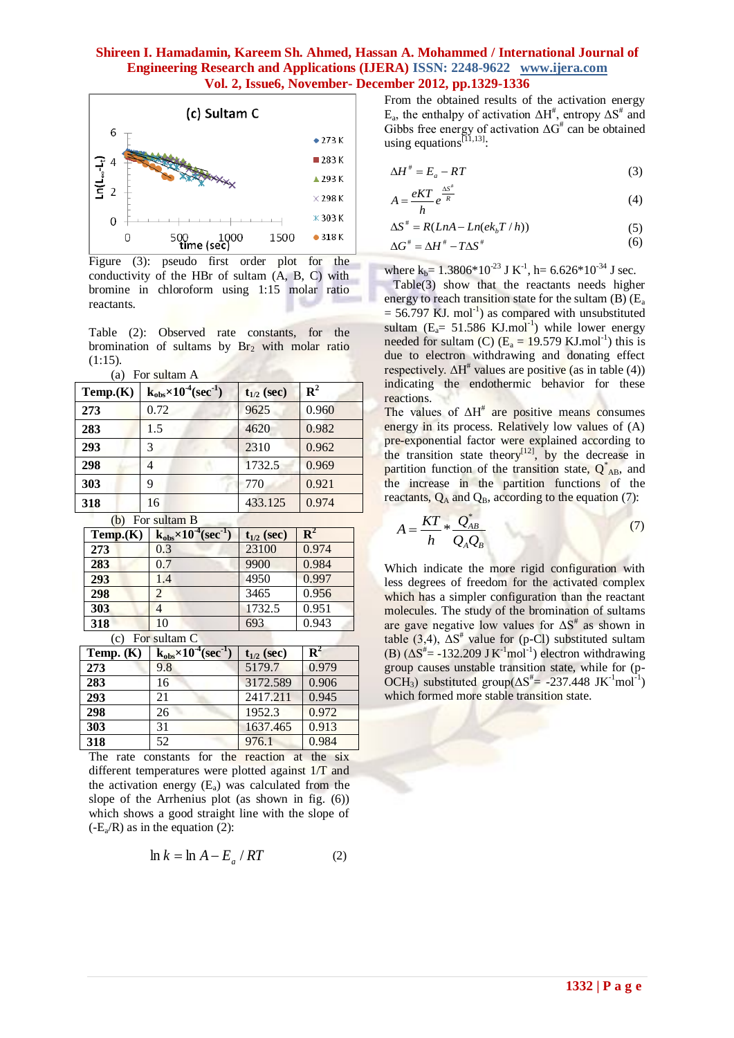

Figure (3): pseudo first order plot for the conductivity of the HBr of sultam (A, B, C) with bromine in chloroform using 1:15 molar ratio reactants.

Table (2): Observed rate constants, for the bromination of sultams by  $Br<sub>2</sub>$  with molar ratio (1:15).

| (a) For sultam A |  |  |
|------------------|--|--|

| Temp.(K) | $k_{obs} \times 10^{-4}$ (sec <sup>-1</sup> ) | $t_{1/2}$ (sec) | ${\bf R}^2$ |
|----------|-----------------------------------------------|-----------------|-------------|
| 273      | 0.72                                          | 9625            | 0.960       |
| 283      | 1.5                                           | 4620            | 0.982       |
| 293      | 3                                             | 2310            | 0.962       |
| 298      |                                               | 1732.5          | 0.969       |
| 303      | 9                                             | 770             | 0.921       |
| 318      | 16                                            | 433.125         | 0.974       |

(b) For sultam B

| Temp.(K)              | $k_{obs} \times 10^{-4}$ (sec <sup>-1</sup> ) | $t_{1/2}$ (sec) | $\mathbf{R}^2$ |
|-----------------------|-----------------------------------------------|-----------------|----------------|
| 273                   | 0.3                                           | 23100           | 0.974          |
| 283                   | 0.7                                           | 9900            | 0.984          |
| 293                   | 1.4                                           | 4950            | 0.997          |
| 298                   |                                               | 3465            | 0.956          |
| 303                   |                                               | 1732.5          | 0.951          |
| 318                   | 10                                            | 693             | 0.943          |
| $\left(\alpha\right)$ | $For$ cultam $\Gamma$                         |                 |                |

(c) For sultam C

| Temp. $(K)$ | $k_{obs} \times 10^{-4}$ (sec <sup>-1</sup> | $t_{1/2}$ (sec) | $\mathbf{R}^2$ |
|-------------|---------------------------------------------|-----------------|----------------|
| 273         | 9.8                                         | 5179.7          | 0.979          |
| 283         | 16                                          | 3172.589        | 0.906          |
| 293         | 21                                          | 2417.211        | 0.945          |
| 298         | 26                                          | 1952.3          | 0.972          |
| 303         | 31                                          | 1637.465        | 0.913          |
| 318         | 52                                          | 976.1           | 0.984          |

The rate constants for the reaction at the six different temperatures were plotted against 1/T and the activation energy  $(E_a)$  was calculated from the slope of the Arrhenius plot (as shown in fig. (6)) which shows a good straight line with the slope of  $(-E_a/R)$  as in the equation (2):

$$
\ln k = \ln A - E_a / RT \tag{2}
$$

From the obtained results of the activation energy E<sub>a</sub>, the enthalpy of activation  $ΔH^{\#}$ , entropy  $ΔS^{\#}$  and Gibbs free energy of activation  $\Delta G^*$  can be obtained using equations<sup>[11,13]</sup>:

$$
\Delta H^{\#} = E_a - RT \tag{3}
$$

$$
A = \frac{eKT}{e^{\frac{\Delta S^*}{R}}}
$$
 (4)

$$
h
$$
  
\n
$$
\Delta S^* = R(LnA - Ln(ek_bT/h))
$$
\n(5)

$$
\Delta G^{\text{#}} = \Delta H^{\text{#}} - T\Delta S^{\text{#}} \tag{6}
$$

where  $k_b$  = 1.3806\*10<sup>-23</sup> J K<sup>-1</sup>, h = 6.626\*10<sup>-34</sup> J sec.

 Table(3) show that the reactants needs higher energy to reach transition state for the sultam  $(B)$  ( $E_a$ )  $= 56.797$  KJ. mol<sup>-1</sup>) as compared with unsubstituted sultam ( $E_a$ = 51.586 KJ.mol<sup>-1</sup>) while lower energy needed for sultam (C)  $(E_a = 19.579 \text{ KJ} \cdot \text{mol}^{-1})$  this is due to electron withdrawing and donating effect respectively.  $\Delta H^*$  values are positive (as in table (4)) indicating the endothermic behavior for these reactions.

The values of  $\Delta H^*$  are positive means consumes energy in its process. Relatively low values of (A) pre-exponential factor were explained according to the transition state theory<sup>[12]</sup>, by the decrease in partition function of the transition state,  $Q_{AB}^*$ , and the increase in the partition functions of the reactants,  $Q_A$  and  $Q_B$ , according to the equation (7):

$$
A = \frac{KT}{h} * \frac{Q_{AB}^*}{Q_A Q_B} \tag{7}
$$

Which indicate the more rigid configuration with less degrees of freedom for the activated complex which has a simpler configuration than the reactant molecules. The study of the bromination of sultams are gave negative low values for  $\Delta S^*$  as shown in table  $(3,4)$ ,  $\Delta S^*$  value for (p-Cl) substituted sultam (B)  $(\Delta S^{\dagger} = -132.209 \text{ J K}^{-1} \text{mol}^{-1})$  electron withdrawing group causes unstable transition state, while for (p-OCH<sub>3</sub>) substituted group( $\Delta S^{\#}$ = -237.448 JK<sup>-1</sup>mol<sup>-1</sup>) which formed more stable transition state.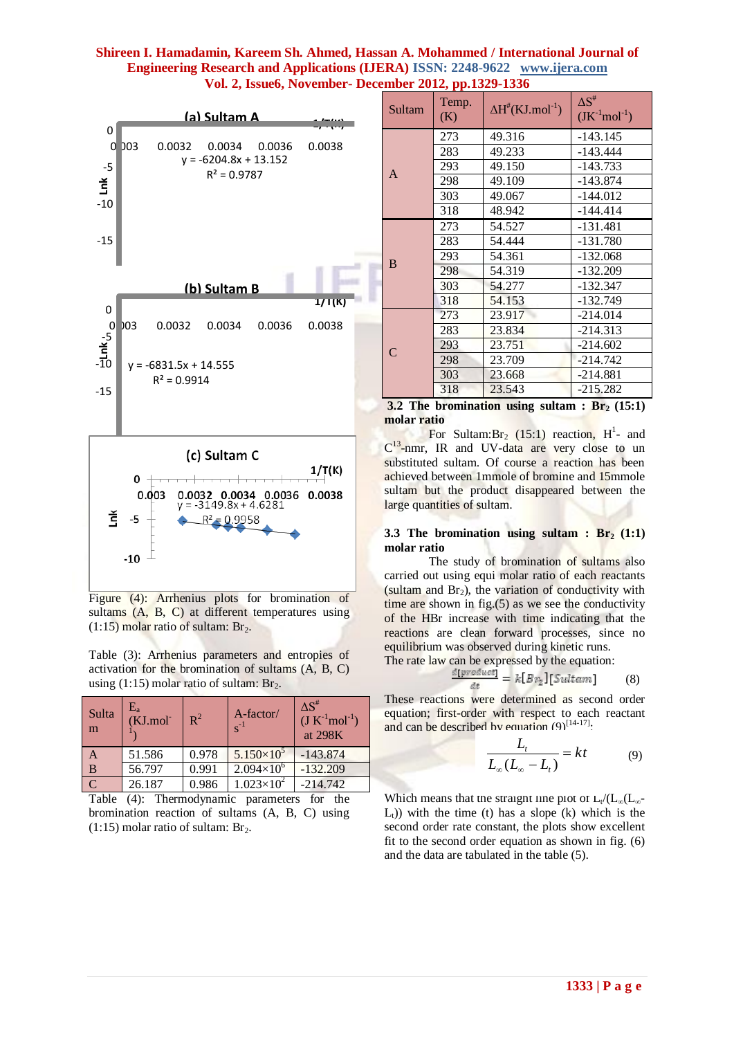

Figure (4): Arrhenius plots for bromination of sultams (A, B, C) at different temperatures using  $(1:15)$  molar ratio of sultam: Br<sub>2</sub>.

Table (3): Arrhenius parameters and entropies of activation for the bromination of sultams (A, B, C) using (1:15) molar ratio of sultam:  $Br_2$ .

| Sulta<br>m | $\rm E_a$<br>(KJ.mol) | $R^2$ | A-factor/<br>$s^{-1}$ | $\Delta S^{\#}$<br>$(J K^{-1} mol^{-1})$<br>at 298K |
|------------|-----------------------|-------|-----------------------|-----------------------------------------------------|
| A          | 51.586                | 0.978 | $5.150\times10^{5}$   | $-143.874$                                          |
| B          | 56.797                | 0.991 | $2.094\times10^{6}$   | $-132.209$                                          |
|            | 26.187                | 0.986 | $1.023 \times 10^{2}$ | $-214.742$                                          |
|            |                       |       |                       |                                                     |

Table (4): Thermodynamic parameters for the bromination reaction of sultams (A, B, C) using  $(1:15)$  molar ratio of sultam: Br<sub>2</sub>.

| Sultam        | $-1$ , $r_{\rm F}$<br>Temp.<br>(K) | $\Delta H^{#}(KJ$ .mol <sup>-1</sup> ) | $\Delta S^{\#}$<br>$(JK^{-1}mol^{-1})$ |
|---------------|------------------------------------|----------------------------------------|----------------------------------------|
|               | 273                                | 49.316                                 | $-143.145$                             |
|               | 283                                | 49.233                                 | $-143.444$                             |
| $\mathbf{A}$  | 293                                | 49.150                                 | $-143.733$                             |
|               | 298                                | 49.109                                 | $-143.874$                             |
|               | 303                                | 49.067                                 | $-144.012$                             |
|               | 318                                | 48.942                                 | $-144.414$                             |
|               | 273                                | 54.527                                 | $-131.481$                             |
|               | 283                                | 54.444                                 | $-131.780$                             |
|               | 293                                | 54.361                                 | $-132.068$                             |
| B             | 298                                | 54.319                                 | $-132.209$                             |
|               | 303                                | 54.277                                 | $-132.347$                             |
|               | 318                                | 54.153                                 | $-132.749$                             |
|               | 273                                | 23.917                                 | $-214.014$                             |
|               | 283                                | 23.834                                 | $-214.313$                             |
|               | 293                                | 23.751                                 | $-214.602$                             |
| $\mathsf{C}$  | 298                                | 23.709                                 | $-214.742$                             |
|               | 303                                | 23.668                                 | $-214.881$                             |
|               | 318                                | 23.543                                 | $-215.282$                             |
| $\sim$ $\sim$ |                                    | $\cdot$ .<br>$\blacksquare$            | $\lambda = -1$                         |

**3.2 The bromination using sultam : Br2 (15:1) molar ratio** 

For Sultam:Br<sub>2</sub> (15:1) reaction,  $H^1$ - and  $C^{13}$ -nmr, IR and UV-data are very close to un substituted sultam. Of course a reaction has been achieved between 1mmole of bromine and 15mmole sultam but the product disappeared between the large quantities of sultam.

#### **3.3 The bromination using sultam :**  $Br_2(1:1)$ **molar ratio**

The study of bromination of sultams also carried out using equi molar ratio of each reactants (sultam and  $Br<sub>2</sub>$ ), the variation of conductivity with time are shown in fig.(5) as we see the conductivity of the HBr increase with time indicating that the reactions are clean forward processes, since no equilibrium was observed during kinetic runs.

The rate law can be expressed by the equation:

$$
\frac{a[product]}{dt} = k[Br_2][Sultam] \qquad (8)
$$

These reactions were determined as second order equation; first-order with respect to each reactant and can be described by equation  $(9)^{[14-17]}.$ 

$$
\frac{L_t}{L_{\infty}(L_{\infty}-L_t)} = kt \tag{9}
$$

Which means that the straight line plot of  $L_t/(L_\infty(L_\infty$ - $L<sub>t</sub>$ )) with the time (t) has a slope (k) which is the second order rate constant, the plots show excellent fit to the second order equation as shown in fig. (6) and the data are tabulated in the table (5).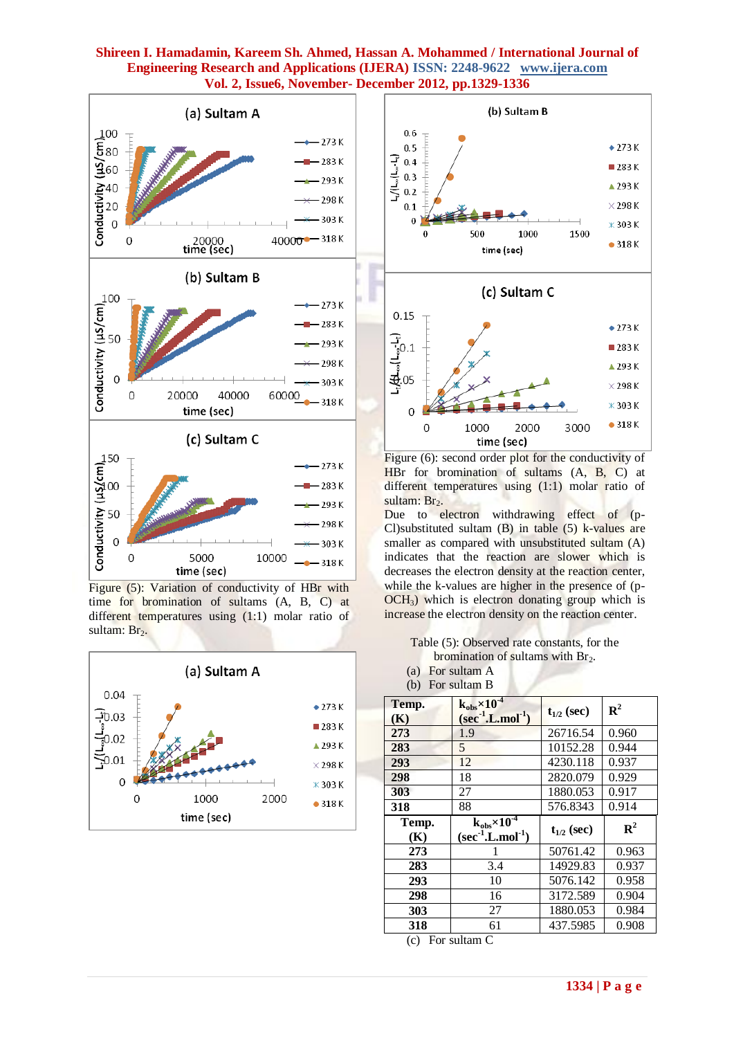

Figure (5): Variation of conductivity of HBr with time for bromination of sultams (A, B, C) at different temperatures using (1:1) molar ratio of sultam:  $Br<sub>2</sub>$ .





Figure (6): second order plot for the conductivity of HBr for bromination of sultams (A, B, C) at different temperatures using (1:1) molar ratio of sultam: Br<sub>2</sub>.

Due to electron withdrawing effect of (p-Cl)substituted sultam  $(B)$  in table  $(5)$  k-values are smaller as compared with unsubstituted sultam (A) indicates that the reaction are slower which is decreases the electron density at the reaction center, while the k-values are higher in the presence of (p-OCH<sub>3</sub>) which is electron donating group which is increase the electron density on the reaction center.

Table (5): Observed rate constants, for the bromination of sultams with  $Br<sub>2</sub>$ .

(a) For sultam A (b) For sultam B

| Temp.<br>(K) | $k_{obs}\times10^{-4}$<br>$(\sec^{-1} L \text{.} \text{mol}^{-1})$  | $t_{1/2}$ (sec) | ${\bf R}^2$ |
|--------------|---------------------------------------------------------------------|-----------------|-------------|
| 273          | 1.9                                                                 | 26716.54        | 0.960       |
| 283          | 5                                                                   | 10152.28        | 0.944       |
| 293          | 12                                                                  | 4230.118        | 0.937       |
| 298          | 18                                                                  | 2820.079        | 0.929       |
| 303          | 27                                                                  | 1880.053        | 0.917       |
| 318          | 88                                                                  | 576.8343        | 0.914       |
|              |                                                                     |                 |             |
| Temp.<br>(K) | $k_{obs}$ $\times 10^{-4}$<br>$(\sec^{-1} L \cdot \text{mol}^{-1})$ | $t_{1/2}$ (sec) | ${\bf R}^2$ |
| 273          |                                                                     | 50761.42        | 0.963       |
| 283          | 3.4                                                                 | 14929.83        | 0.937       |
| 293          | 10                                                                  | 5076.142        | 0.958       |
| 298          | 16                                                                  | 3172.589        | 0.904       |
| 303          | 27                                                                  | 1880.053        | 0.984       |

(c) For sultam C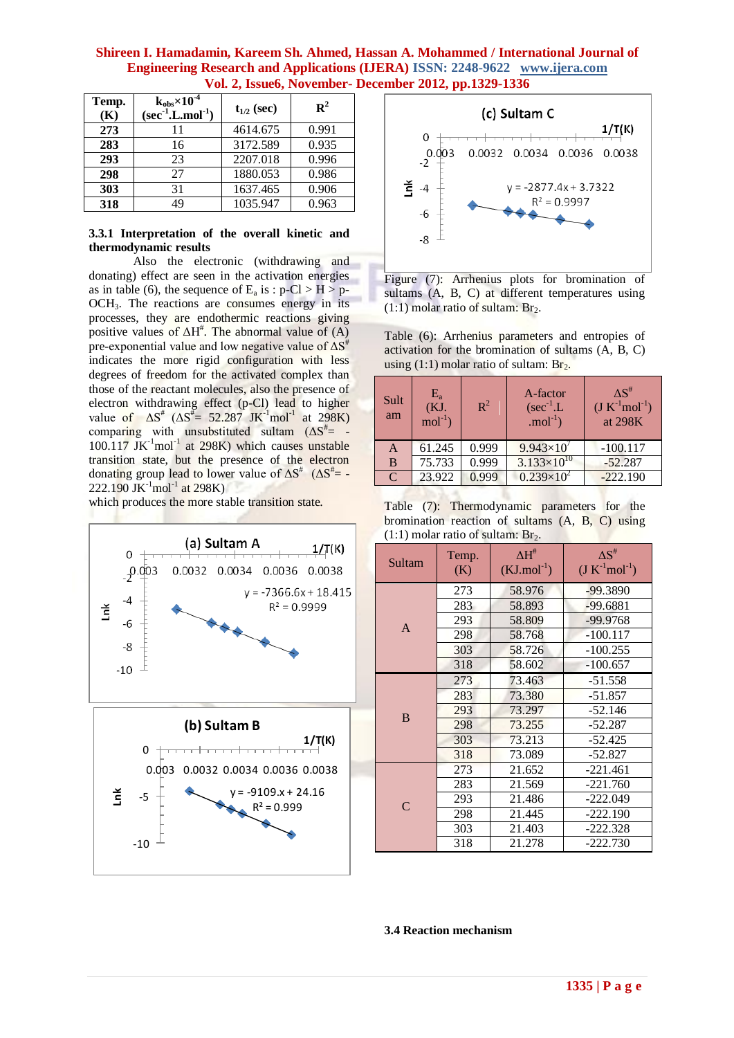| Temp.<br>(K) | $k_{obs}$ $\times 10^{-4}$<br>$(\sec^1 L \cdot \text{mol}^{-1})$ | $t_{1/2}$ (sec) | $\mathbf{R}^2$ |
|--------------|------------------------------------------------------------------|-----------------|----------------|
| 273          | 11                                                               | 4614.675        | 0.991          |
| 283          | 16                                                               | 3172.589        | 0.935          |
| 293          | 23                                                               | 2207.018        | 0.996          |
| 298          | 27                                                               | 1880.053        | 0.986          |
| 303          | 31                                                               | 1637.465        | 0.906          |
| 318          | 49                                                               | 1035.947        | 0.963          |

## **3.3.1 Interpretation of the overall kinetic and thermodynamic results**

Also the electronic (withdrawing and donating) effect are seen in the activation energies as in table (6), the sequence of  $E_a$  is :  $p-Cl > H > p-$ OCH3. The reactions are consumes energy in its processes, they are endothermic reactions giving positive values of  $\Delta H^*$ . The abnormal value of (A) pre-exponential value and low negative value of  $\Delta S^*$ indicates the more rigid configuration with less degrees of freedom for the activated complex than those of the reactant molecules, also the presence of electron withdrawing effect (p-Cl) lead to higher value of  $\Delta S^*$  ( $\Delta S^* = 52.287$  JK<sup>-1</sup>mol<sup>-1</sup> at 298K) comparing with unsubstituted sultam  $(\Delta S^{\#} = 100.117$  JK $^{-1}$ mol $^{-1}$  at 298K) which causes unstable transition state, but the presence of the electron donating group lead to lower value of  $\Delta S^*$  ( $\Delta S^*$  = - $222.190$  JK<sup>-1</sup>mol<sup>-1</sup> at 298K)

which produces the more stable transition state.





Figure (7): Arrhenius plots for bromination of sultams (A, B, C) at different temperatures using  $(1:1)$  molar ratio of sultam: Br<sub>2</sub>.

Table (6): Arrhenius parameters and entropies of activation for the bromination of sultams (A, B, C) using  $(1:1)$  molar ratio of sultam: Br<sub>2</sub>.

| Sult<br>am    | $E_{a}$<br>(KJ.<br>$mol-1$ | $\mathbb{R}^2$ | A-factor<br>$(\sec^{-1} L)$<br>$mol^{-1}$ ) | $\Delta S^{\#}$<br>$(J K^{-1} mol^{-1})$<br>at 298K |
|---------------|----------------------------|----------------|---------------------------------------------|-----------------------------------------------------|
| A             | 61.245                     | 0.999          | $9.943\times10^{7}$                         | $-100.117$                                          |
| B             | 75.733                     | 0.999          | $3.133\times10^{10}$                        | $-52.287$                                           |
| $\mathcal{C}$ | 23.922                     | 0.999          | $0.239\times10^{2}$                         | $-222.190$                                          |

Table (7): Thermodynamic parameters for the bromination reaction of sultams (A, B, C) using  $(1:1)$  molar ratio of sultam: Br<sub>2</sub>.

| Sultam       | Temp.<br>(K) | $\Delta H^{\#}$<br>$(KJ$ .mol <sup>-1</sup> ) | $\Delta S^{\#}$<br>$(J K^{-1} mol^{-1})$ |
|--------------|--------------|-----------------------------------------------|------------------------------------------|
|              | 273          | 58.976                                        | $-99.3890$                               |
|              | 283          | 58.893                                        | $-99.6881$                               |
| A            | 293          | 58.809                                        | $-99.9768$                               |
|              | 298          | 58.768                                        | $-100.117$                               |
|              | 303          | 58.726                                        | $-100.255$                               |
|              | 318          | 58.602                                        | $-100.657$                               |
|              | 273          | 73.463                                        | $-51.558$                                |
|              | 283          | 73.380                                        | $-51.857$                                |
| B            | 293          | 73.297                                        | $-52.146$                                |
|              | 298          | 73.255                                        | $-52.287$                                |
|              | 303          | 73.213                                        | $-52.425$                                |
|              | 318          | 73.089                                        | $-52.827$                                |
|              | 273          | 21.652                                        | $-221.461$                               |
|              | 283          | 21.569                                        | $-221.760$                               |
| $\mathsf{C}$ | 293          | 21.486                                        | $-222.049$                               |
|              | 298          | 21.445                                        | $-222.190$                               |
|              | 303          | 21.403                                        | $-222.328$                               |
|              | 318          | 21.278                                        | -222.730                                 |

#### **3.4 Reaction mechanism**